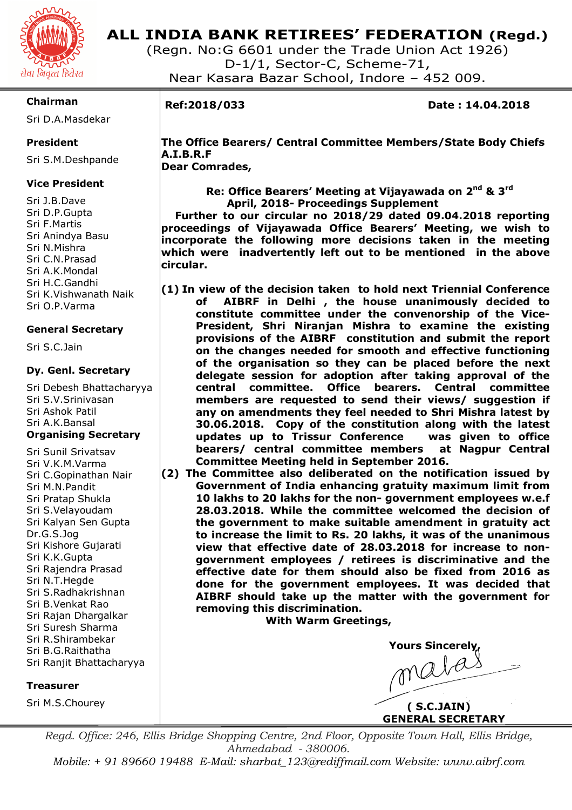

### **ALL INDIA BANK RETIREES' FEDERATION (Regd.)**

(Regn. No:G 6601 under the Trade Union Act 1926) D-1/1, Sector-C, Scheme-71, Near Kasara Bazar School, Indore – 452 009.

### **Chairman**

Sri D.A.Masdekar

### **President**

Sri S.M.Deshpande

### **Vice President**

Sri J.B.Dave Sri D.P.Gupta Sri F.Martis Sri Anindya Basu Sri N.Mishra Sri C.N.Prasad Sri A.K.Mondal Sri H.C.Gandhi Sri K.Vishwanath Naik Sri O.P.Varma

### **General Secretary**

Sri S.C.Jain

### **Dy. Genl. Secretary**

Sri Debesh Bhattacharyya Sri S.V.Srinivasan Sri Ashok Patil Sri A.K.Bansal **Organising Secretary** 

Sri Sunil Srivatsav Sri V.K.M.Varma Sri C.Gopinathan Nair Sri M.N.Pandit Sri Pratap Shukla Sri S.Velayoudam Sri Kalyan Sen Gupta Dr.G.S.Jog Sri Kishore Gujarati Sri K.K.Gupta Sri Rajendra Prasad Sri N.T.Hegde Sri S.Radhakrishnan Sri B.Venkat Rao Sri Rajan Dhargalkar Sri Suresh Sharma Sri R.Shirambekar Sri B.G.Raithatha Sri Ranjit Bhattacharyya

### **Treasurer**

Sri M.S.Chourey

# I

**Ref:2018/033 Date : 14.04.2018** 

 **The Office Bearers/ Central Committee Members/State Body Chiefs A.I.B.R.F Dear Comrades,** 

 **Re: Office Bearers' Meeting at Vijayawada on 2nd & 3rd**

 **April, 2018- Proceedings Supplement Further to our circular no 2018/29 dated 09.04.2018 reporting proceedings of Vijayawada Office Bearers' Meeting, we wish to incorporate the following more decisions taken in the meeting which were inadvertently left out to be mentioned in the above circular.** 

- **(1) In view of the decision taken to hold next Triennial Conference of AIBRF in Delhi , the house unanimously decided to constitute committee under the convenorship of the Vice-President, Shri Niranjan Mishra to examine the existing provisions of the AIBRF constitution and submit the report on the changes needed for smooth and effective functioning of the organisation so they can be placed before the next delegate session for adoption after taking approval of the central committee. Office bearers. Central committee members are requested to send their views/ suggestion if any on amendments they feel needed to Shri Mishra latest by 30.06.2018. Copy of the constitution along with the latest updates up to Trissur Conference was given to office bearers/ central committee members at Nagpur Central Committee Meeting held in September 2016.**
- **(2) The Committee also deliberated on the notification issued by Government of India enhancing gratuity maximum limit from 10 lakhs to 20 lakhs for the non- government employees w.e.f 28.03.2018. While the committee welcomed the decision of the government to make suitable amendment in gratuity act to increase the limit to Rs. 20 lakhs, it was of the unanimous view that effective date of 28.03.2018 for increase to nongovernment employees / retirees is discriminative and the effective date for them should also be fixed from 2016 as done for the government employees. It was decided that AIBRF should take up the matter with the government for removing this discrimination.**

 **With Warm Greetings,** 

**Yours Sincerely**<br>and the *Martial*  **( S.C.JAIN) GENERAL SECRETARY** 

*Regd. Office: 246, Ellis Bridge Shopping Centre, 2nd Floor, Opposite Town Hall, Ellis Bridge, Ahmedabad - 380006.* 

*Mobile: + 91 89660 19488 E-Mail: sharbat\_123@rediffmail.com Website: www.aibrf.com*